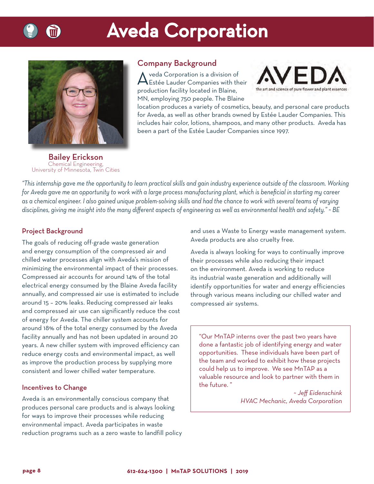

# **Aveda Corporation**



### Company Background

Aveda Corporation is a division of Estée Lauder Companies with their production facility located in Blaine, MN, employing 750 people. The Blaine



location produces a variety of cosmetics, beauty, and personal care products for Aveda, as well as other brands owned by Estée Lauder Companies. This includes hair color, lotions, shampoos, and many other products. Aveda has been a part of the Estée Lauder Companies since 1997.

Bailey Erickson chemical Engineering,<br>sity of Minnesota. Twin  $U_{\rm{max}}$ 

*"This internship gave me the opportunity to learn practical skills and gain industry experience outside of the classroom. Working for Aveda gave me an opportunity to work with a large process manufacturing plant, which is benefi cial in starting my career as a chemical engineer. I also gained unique problem-solving skills and had the chance to work with several teams of varying*  disciplines, giving me insight into the many different aspects of engineering as well as environmental health and safety." ~ BE

#### Project Background

The goals of reducing off-grade waste generation and energy consumption of the compressed air and chilled water processes align with Aveda's mission of minimizing the environmental impact of their processes. Compressed air accounts for around 14% of the total electrical energy consumed by the Blaine Aveda facility annually, and compressed air use is estimated to include around 15 – 20% leaks. Reducing compressed air leaks and compressed air use can significantly reduce the cost of energy for Aveda. The chiller system accounts for around 18% of the total energy consumed by the Aveda facility annually and has not been updated in around 20 years. A new chiller system with improved efficiency can reduce energy costs and environmental impact, as well as improve the production process by supplying more consistent and lower chilled water temperature.

#### Incentives to Change

Aveda is an environmentally conscious company that produces personal care products and is always looking for ways to improve their processes while reducing environmental impact. Aveda participates in waste reduction programs such as a zero waste to landfill policy and uses a Waste to Energy waste management system. Aveda products are also cruelty free.

Aveda is always looking for ways to continually improve their processes while also reducing their impact on the environment. Aveda is working to reduce its industrial waste generation and additionally will identify opportunities for water and energy efficiencies through various means including our chilled water and compressed air systems.

"Our MnTAP interns over the past two years have done a fantastic job of identifying energy and water opportunities. These individuals have been part of the team and worked to exhibit how these projects could help us to improve. We see MnTAP as a valuable resource and look to partner with them in the future. "

> *~ Jeff Eidenschink HVAC Mechanic, Aveda Corporation*